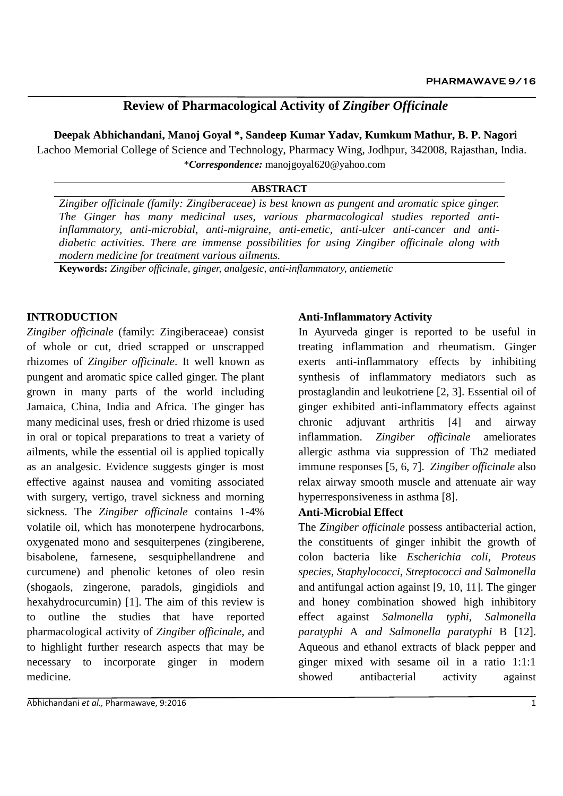# **Review of Pharmacological Activity of** *Zingiber Officinale*

**Deepak Abhichandani, Manoj Goyal \*, Sandeep Kumar Yadav, Kumkum Mathur, B. P. Nagori**

Lachoo Memorial College of Science and Technology, Pharmacy Wing, Jodhpur, 342008, Rajasthan, India. \**Correspondence:* [manojgoyal620@yahoo.com](mailto:manojgoyal620@yahoo.com)

#### **ABSTRACT**

*Zingiber officinale (family: Zingiberaceae) is best known as pungent and aromatic spice ginger. The Ginger has many medicinal uses, various pharmacological studies reported antiinflammatory, anti-microbial, anti-migraine, anti-emetic, anti-ulcer anti-cancer and antidiabetic activities. There are immense possibilities for using Zingiber officinale along with modern medicine for treatment various ailments.* 

**Keywords:** *Zingiber officinale, ginger, analgesic, anti-inflammatory, antiemetic*

### **INTRODUCTION**

*Zingiber officinale* (family: Zingiberaceae) consist of whole or cut, dried scrapped or unscrapped rhizomes of *Zingiber officinale*. It well known as pungent and aromatic spice called ginger. The plant grown in many parts of the world including Jamaica, China, India and Africa. The ginger has many medicinal uses, fresh or dried rhizome is used in oral or topical preparations to treat a variety of ailments, while the essential oil is applied topically as an analgesic. Evidence suggests ginger is most effective against nausea and vomiting associated with surgery, vertigo, travel sickness and morning sickness. The *Zingiber officinale* contains 1-4% volatile oil, which has monoterpene hydrocarbons, oxygenated mono and sesquiterpenes (zingiberene, bisabolene, farnesene, sesquiphellandrene and curcumene) and phenolic ketones of oleo resin (shogaols, zingerone, paradols, gingidiols and hexahydrocurcumin) [1]. The aim of this review is to outline the studies that have reported pharmacological activity of *Zingiber officinale*, and to highlight further research aspects that may be necessary to incorporate ginger in modern medicine.

#### **Anti-Inflammatory Activity**

In Ayurveda ginger is reported to be useful in treating inflammation and rheumatism. Ginger exerts anti-inflammatory effects by inhibiting synthesis of inflammatory mediators such as prostaglandin and leukotriene [2, 3]. Essential oil of ginger exhibited anti-inflammatory effects against chronic adjuvant arthritis [4] and airway inflammation. *Zingiber officinale* ameliorates allergic asthma via suppression of Th2 mediated immune responses [5, 6, 7]. *Zingiber officinale* also relax airway smooth muscle and attenuate air way hyperresponsiveness in asthma [8].

#### **Anti-Microbial Effect**

The *Zingiber officinale* possess antibacterial action, the constituents of ginger inhibit the growth of colon bacteria like *Escherichia coli, Proteus species, Staphylococci, Streptococci and Salmonella* and antifungal action against [9, 10, 11]. The ginger and honey combination showed high inhibitory effect against *Salmonella typhi, Salmonella paratyphi* A *and Salmonella paratyphi* B [12]. Aqueous and ethanol extracts of black pepper and ginger mixed with sesame oil in a ratio 1:1:1 showed antibacterial activity against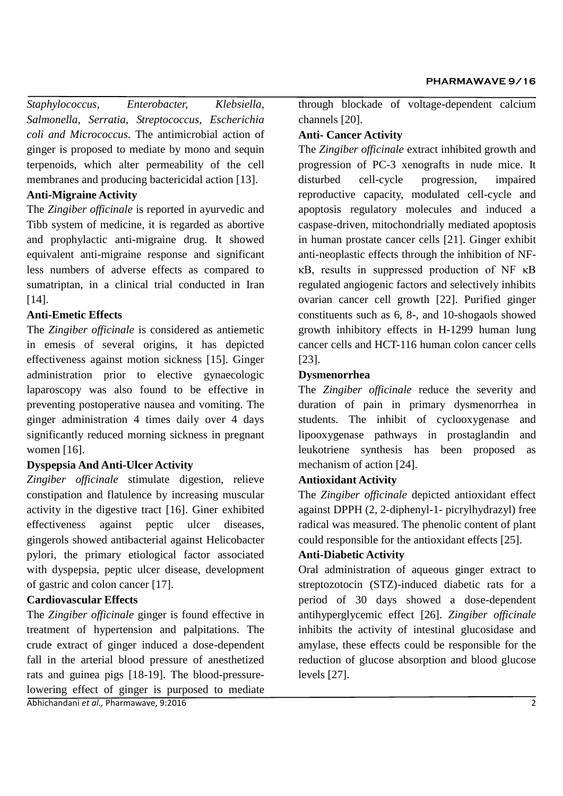*Staphylococcus, Enterobacter, Klebsiella, Salmonella, Serratia, Streptococcus, Escherichia coli and Micrococcus.* The antimicrobial action of ginger is proposed to mediate by mono and sequin terpenoids, which alter permeability of the cell membranes and producing bactericidal action [13].

## **Anti-Migraine Activity**

The *Zingiber officinale* is reported in ayurvedic and Tibb system of medicine, it is regarded as abortive and prophylactic anti-migraine drug. It showed equivalent anti-migraine response and significant less numbers of adverse effects as compared to sumatriptan, in a clinical trial conducted in Iran [14].

## **Anti-Emetic Effects**

The *Zingiber officinale* is considered as antiemetic in emesis of several origins, it has depicted effectiveness against motion sickness [15]. Ginger administration prior to elective gynaecologic laparoscopy was also found to be effective in preventing postoperative nausea and vomiting. The ginger administration 4 times daily over 4 days significantly reduced morning sickness in pregnant women [16].

### **Dyspepsia And Anti-Ulcer Activity**

*Zingiber officinale* stimulate digestion, relieve constipation and flatulence by increasing muscular activity in the digestive tract [16]. Giner exhibited effectiveness against peptic ulcer diseases, gingerols showed antibacterial against Helicobacter pylori, the primary etiological factor associated with dyspepsia, peptic ulcer disease, development of gastric and colon cancer [17].

# **Cardiovascular Effects**

The *Zingiber officinale* ginger is found effective in treatment of hypertension and palpitations. The crude extract of ginger induced a dose-dependent fall in the arterial blood pressure of anesthetized rats and guinea pigs [18-19]. The blood-pressurelowering effect of ginger is purposed to mediate

Abhichandani *et al.,* Pharmawave, 9:2016 2

through blockade of voltage-dependent calcium channels [20].

## **Anti- Cancer Activity**

The *Zingiber officinale* extract inhibited growth and progression of PC-3 xenografts in nude mice. It disturbed cell-cycle progression, impaired reproductive capacity, modulated cell-cycle and apoptosis regulatory molecules and induced a caspase-driven, mitochondrially mediated apoptosis in human prostate cancer cells [21]. Ginger exhibit anti-neoplastic effects through the inhibition of NFκB, results in suppressed production of NF κB regulated angiogenic factors and selectively inhibits ovarian cancer cell growth [22]. Purified ginger constituents such as 6, 8-, and 10-shogaols showed growth inhibitory effects in H-1299 human lung cancer cells and HCT-116 human colon cancer cells [23].

### **Dysmenorrhea**

The *Zingiber officinale* reduce the severity and duration of pain in primary dysmenorrhea in students. The inhibit of cyclooxygenase and lipooxygenase pathways in prostaglandin and leukotriene synthesis has been proposed as mechanism of action [24].

# **Antioxidant Activity**

The *Zingiber officinale* depicted antioxidant effect against DPPH (2, 2-diphenyl-1- picrylhydrazyl) free radical was measured. The phenolic content of plant could responsible for the antioxidant effects [25].

# **Anti-Diabetic Activity**

Oral administration of aqueous ginger extract to streptozotocin (STZ)-induced diabetic rats for a period of 30 days showed a dose-dependent antihyperglycemic effect [26]. *Zingiber officinale*  inhibits the activity of intestinal glucosidase and amylase, these effects could be responsible for the reduction of glucose absorption and blood glucose levels [27].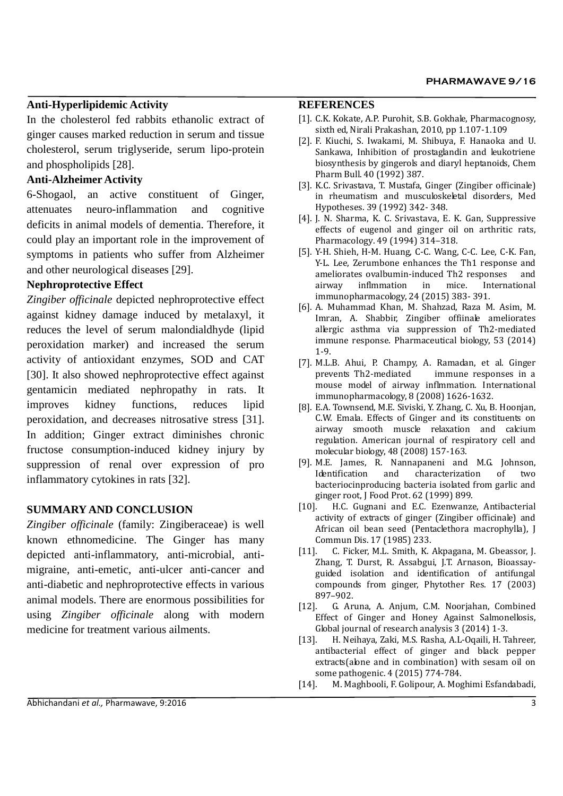#### **Anti-Hyperlipidemic Activity**

In the cholesterol fed rabbits ethanolic extract of ginger causes marked reduction in serum and tissue cholesterol, serum triglyseride, serum lipo-protein and phospholipids [28].

#### **Anti-Alzheimer Activity**

6-Shogaol, an active constituent of Ginger, attenuates neuro-inflammation and cognitive deficits in animal models of dementia. Therefore, it could play an important role in the improvement of symptoms in patients who suffer from Alzheimer and other neurological diseases [29].

#### **Nephroprotective Effect**

*Zingiber officinale* depicted nephroprotective effect against kidney damage induced by metalaxyl, it reduces the level of serum malondialdhyde (lipid peroxidation marker) and increased the serum activity of antioxidant enzymes, SOD and CAT [30]. It also showed nephroprotective effect against gentamicin mediated nephropathy in rats. It improves kidney functions, reduces lipid peroxidation, and decreases nitrosative stress [31]. In addition; Ginger extract diminishes chronic fructose consumption-induced kidney injury by suppression of renal over expression of pro inflammatory cytokines in rats [32].

### **SUMMARY AND CONCLUSION**

*Zingiber officinale* (family: Zingiberaceae) is well known ethnomedicine. The Ginger has many depicted anti-inflammatory, anti-microbial, antimigraine, anti-emetic, anti-ulcer anti-cancer and anti-diabetic and nephroprotective effects in various animal models. There are enormous possibilities for using *Zingiber officinale* along with modern medicine for treatment various ailments.

#### **REFERENCES**

- [1]. C.K. Kokate, A.P. Purohit, S.B. Gokhale, Pharmacognosy, sixth ed, Nirali Prakashan, 2010, pp 1.107-1.109
- [2]. F. Kiuchi, S. Iwakami, M. Shibuya, F. Hanaoka and U. Sankawa, Inhibition of prostaglandin and leukotriene biosynthesis by gingerols and diaryl heptanoids, Chem Pharm Bull. 40 (1992) 387.
- [3]. K.C. Srivastava, T. Mustafa, Ginger (Zingiber officinale) in rheumatism and musculoskeletal disorders, Med Hypotheses. 39 (1992) 342- 348.
- [4]. J. N. Sharma, K. C. Srivastava, E. K. Gan, Suppressive effects of eugenol and ginger oil on arthritic rats, Pharmacology. 49 (1994) 314–318.
- [5]. Y-H. Shieh, H-M. Huang, C-C. Wang, C-C. Lee, C-K. Fan, Y-L. Lee, Zerumbone enhances the Th1 response and ameliorates ovalbumin-induced Th2 responses and airway inflmmation in mice. International immunopharmacology, 24 (2015) 383- 391.
- [6]. A. Muhammad Khan, M. Shahzad, Raza M. Asim, M. Imran, A. Shabbir, Zingiber offiinale ameliorates allergic asthma via suppression of Th2-mediated immune response. Pharmaceutical biology, 53 (2014) 1-9.
- [7]. M.L.B. Ahui, P. Champy, A. Ramadan, et al. Ginger prevents Th2-mediated immune responses in a mouse model of airway inflmmation. International immunopharmacology, 8 (2008) 1626-1632.
- [8]. E.A. Townsend, M.E. Siviski, Y. Zhang, C. Xu, B. Hoonjan, C.W. Emala. Effects of Ginger and its constituents on airway smooth muscle relaxation and calcium regulation. American journal of respiratory cell and molecular biology, 48 (2008) 157-163.
- [9]. M.E. James, R. Nannapaneni and M.G. Johnson, Identification and characterization of two bacteriocinproducing bacteria isolated from garlic and ginger root, J Food Prot. 62 (1999) 899.
- [10]. H.C. Gugnani and E.C. Ezenwanze, Antibacterial activity of extracts of ginger (Zingiber officinale) and African oil bean seed (Pentaclethora macrophylla), J Commun Dis. 17 (1985) 233.
- [11]. C. Ficker, M.L. Smith, K. Akpagana, M. Gbeassor, J. Zhang, T. Durst, R. Assabgui, J.T. Arnason, Bioassayguided isolation and identification of antifungal compounds from ginger, Phytother Res. 17 (2003) 897–902.
- [12]. G. Aruna, A. Anjum, C.M. Noorjahan, Combined Effect of Ginger and Honey Against Salmonellosis, Global journal of research analysis 3 (2014) 1-3.
- [13]. H. Neihaya, Zaki, M.S. Rasha, A.L-Oqaili, H. Tahreer, antibacterial effect of ginger and black pepper extracts(alone and in combination) with sesam oil on some pathogenic. 4 (2015) 774-784.
- [14]. M. Maghbooli, F. Golipour, A. Moghimi Esfandabadi,

Abhichandani *et al.,* Pharmawave, 9:2016 3